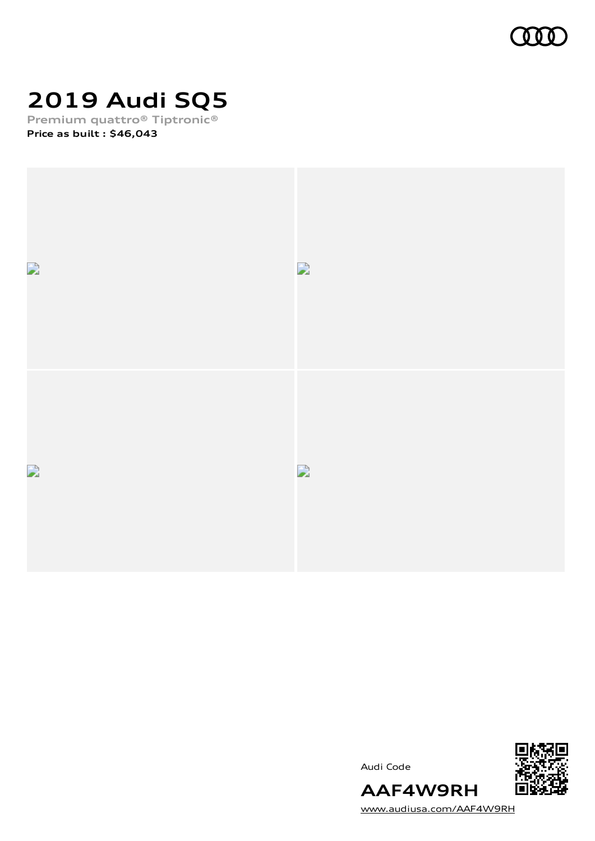

# **2019 Audi SQ5**

**Premium quattro® Tiptronic® Price as built [:](#page-10-0) \$46,043**







[www.audiusa.com/AAF4W9RH](https://www.audiusa.com/AAF4W9RH)

**AAF4W9RH**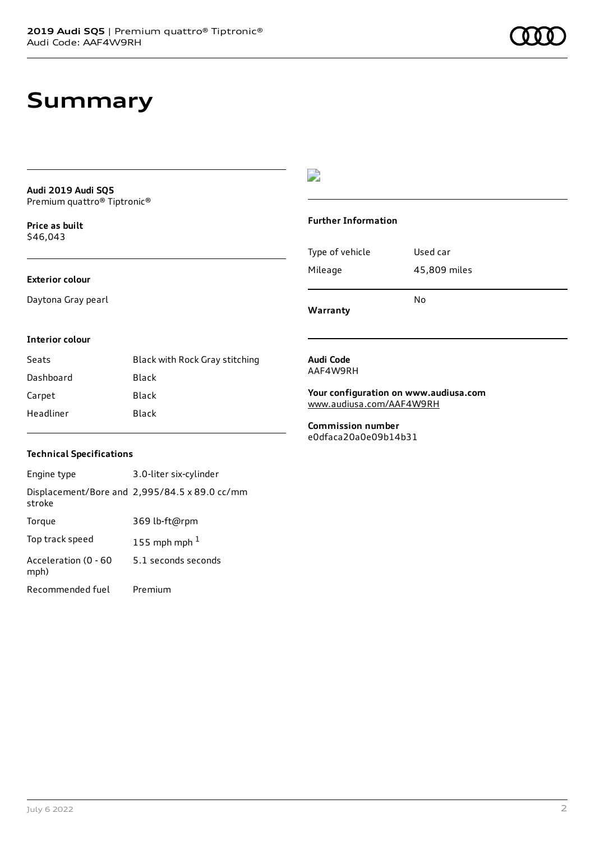# **Summary**

**Audi 2019 Audi SQ5** Premium quattro® Tiptronic®

**Price as buil[t](#page-10-0)** \$46,043

### **Exterior colour**

Daytona Gray pearl

## $\overline{\phantom{a}}$

### **Further Information**

|                 | N٥           |
|-----------------|--------------|
| Mileage         | 45,809 miles |
| Type of vehicle | Used car     |

**Warranty**

#### **Interior colour**

| Seats     | Black with Rock Gray stitching |
|-----------|--------------------------------|
| Dashboard | Black                          |
| Carpet    | Black                          |
| Headliner | Black                          |

#### **Audi Code** AAF4W9RH

**Your configuration on www.audiusa.com** [www.audiusa.com/AAF4W9RH](https://www.audiusa.com/AAF4W9RH)

**Commission number** e0dfaca20a0e09b14b31

### **Technical Specifications**

| Engine type                  | 3.0-liter six-cylinder                        |
|------------------------------|-----------------------------------------------|
| stroke                       | Displacement/Bore and 2,995/84.5 x 89.0 cc/mm |
| Torque                       | 369 lb-ft@rpm                                 |
| Top track speed              | 155 mph mph $1$                               |
| Acceleration (0 - 60<br>mph) | 5.1 seconds seconds                           |
| Recommended fuel             | Premium                                       |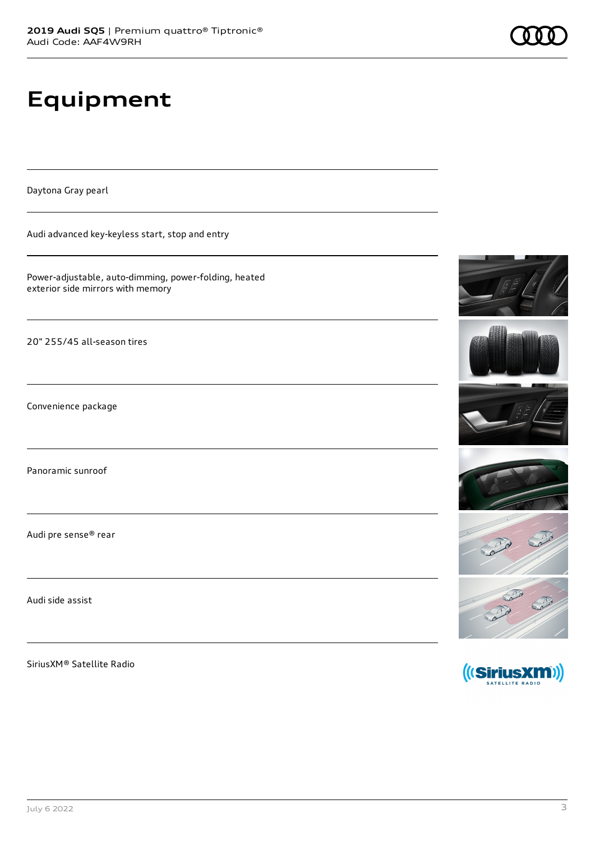# **Equipment**

Daytona Gray pearl

Audi advanced key-keyless start, stop and entry

Power-adjustable, auto-dimming, power-folding, heated exterior side mirrors with memory

20" 255/45 all-season tires

Convenience package

Panoramic sunroof

Audi pre sense® rear

Audi side assist

SiriusXM® Satellite Radio













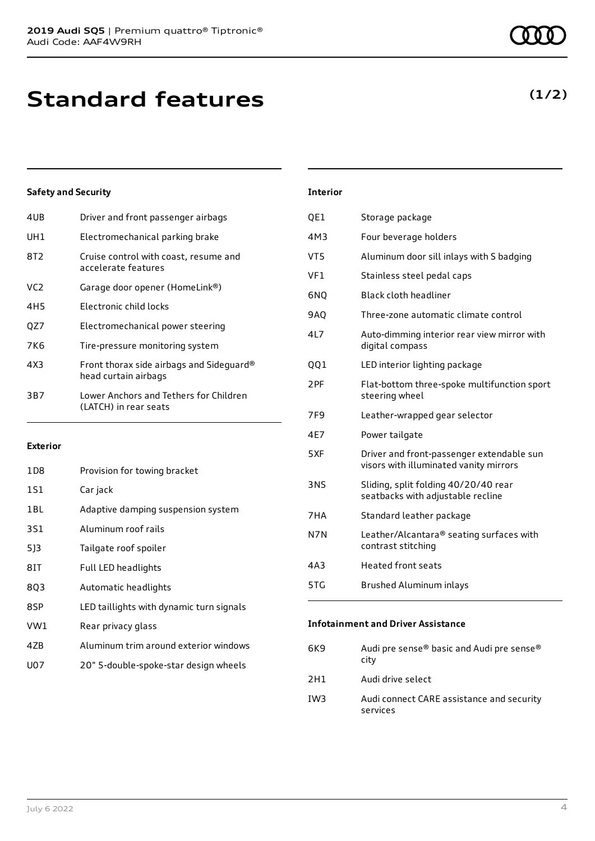| 4UB | Driver and front passenger airbags                               |
|-----|------------------------------------------------------------------|
| UH1 | Electromechanical parking brake                                  |
| 8T2 | Cruise control with coast, resume and<br>accelerate features     |
| VC2 | Garage door opener (HomeLink®)                                   |
| 4H5 | Electronic child locks                                           |
| OZ7 | Electromechanical power steering                                 |
| 7K6 | Tire-pressure monitoring system                                  |
| 4X3 | Front thorax side airbags and Sideguard®<br>head curtain airbags |
| 3B7 | Lower Anchors and Tethers for Children<br>(LATCH) in rear seats  |
|     |                                                                  |

### **Exterior**

| 1D8 | Provision for towing bracket             |
|-----|------------------------------------------|
| 1S1 | Car jack                                 |
| 1BL | Adaptive damping suspension system       |
| 3S1 | Aluminum roof rails                      |
| 513 | Tailgate roof spoiler                    |
| 8IT | Full LED headlights                      |
| 803 | Automatic headlights                     |
| 8SP | LED taillights with dynamic turn signals |
| VW1 | Rear privacy glass                       |
| 47B | Aluminum trim around exterior windows    |
| U07 | 20" 5-double-spoke-star design wheels    |
|     |                                          |

| Interior        |                                                                                     |
|-----------------|-------------------------------------------------------------------------------------|
| QE1             | Storage package                                                                     |
| 4M3             | Four beverage holders                                                               |
| VT5             | Aluminum door sill inlays with S badging                                            |
| VF1             | Stainless steel pedal caps                                                          |
| 6NQ             | Black cloth headliner                                                               |
| <b>9AO</b>      | Three-zone automatic climate control                                                |
| 4L7             | Auto-dimming interior rear view mirror with<br>digital compass                      |
| 001             | LED interior lighting package                                                       |
| 2PF             | Flat-bottom three-spoke multifunction sport<br>steering wheel                       |
| 7F <sub>9</sub> | Leather-wrapped gear selector                                                       |
| 4E7             | Power tailgate                                                                      |
| 5XF             | Driver and front-passenger extendable sun<br>visors with illuminated vanity mirrors |
| 3NS             | Sliding, split folding 40/20/40 rear<br>seatbacks with adjustable recline           |
| 7HA             | Standard leather package                                                            |
| N7N             | Leather/Alcantara® seating surfaces with<br>contrast stitching                      |
| 4A3             | <b>Heated front seats</b>                                                           |
| 5TG             | Brushed Aluminum inlays                                                             |

#### **Infotainment and Driver Assistance**

| 6K9 | Audi pre sense® basic and Audi pre sense®<br>city     |
|-----|-------------------------------------------------------|
| 2H1 | Audi drive select                                     |
| IW3 | Audi connect CARE assistance and security<br>services |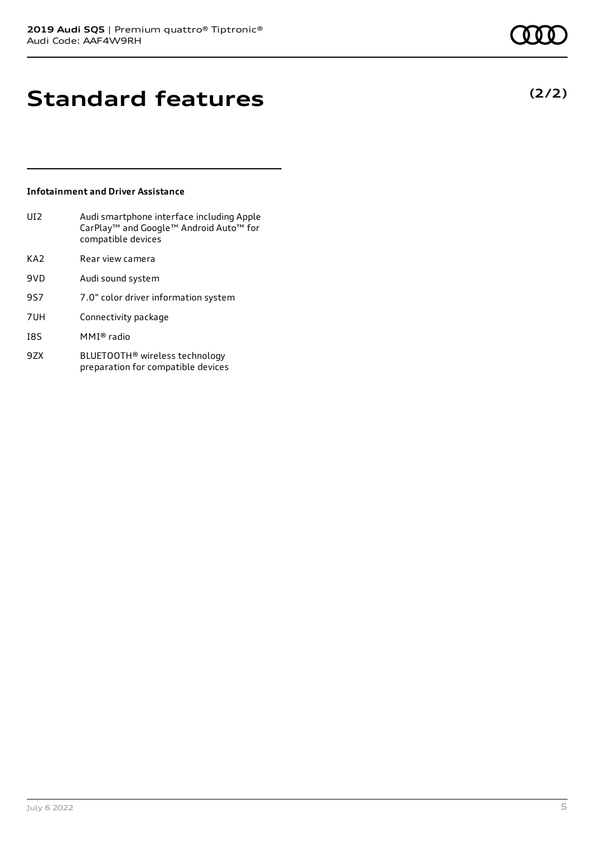# **Standard features**

### **Infotainment and Driver Assistance**

| UI <sub>2</sub> | Audi smartphone interface including Apple<br>CarPlay <sup>™</sup> and Google™ Android Auto™ for<br>compatible devices |
|-----------------|-----------------------------------------------------------------------------------------------------------------------|
| KA <sub>2</sub> | Rear view camera                                                                                                      |
| 9VD             | Audi sound system                                                                                                     |
| 9S7             | 7.0" color driver information system                                                                                  |
| 7UH             | Connectivity package                                                                                                  |
| I8S             | MMI® radio                                                                                                            |
| 9ZX             | BLUETOOTH <sup>®</sup> wireless technology                                                                            |

preparation for compatible devices

July 6 2022 5

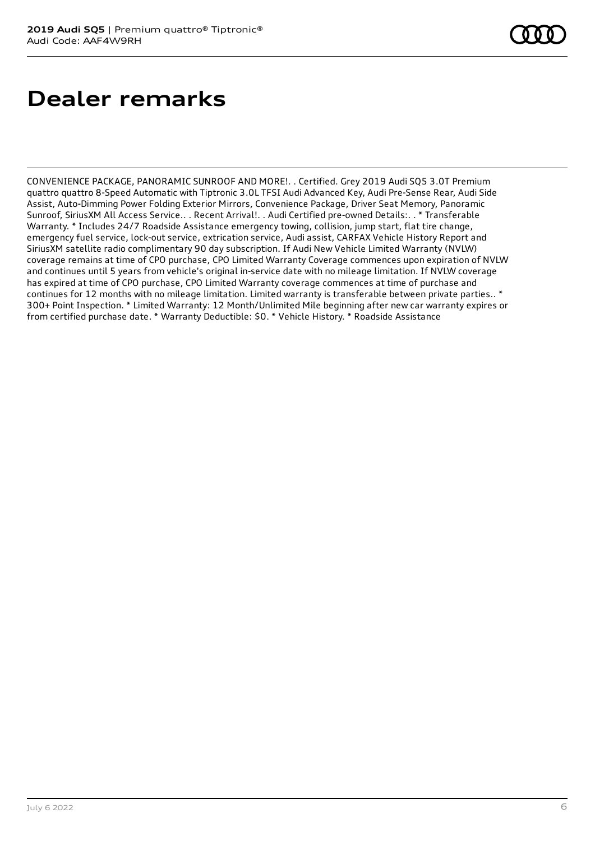# **Dealer remarks**

CONVENIENCE PACKAGE, PANORAMIC SUNROOF AND MORE!. . Certified. Grey 2019 Audi SQ5 3.0T Premium quattro quattro 8-Speed Automatic with Tiptronic 3.0L TFSI Audi Advanced Key, Audi Pre-Sense Rear, Audi Side Assist, Auto-Dimming Power Folding Exterior Mirrors, Convenience Package, Driver Seat Memory, Panoramic Sunroof, SiriusXM All Access Service.. . Recent Arrival!. . Audi Certified pre-owned Details:. . \* Transferable Warranty. \* Includes 24/7 Roadside Assistance emergency towing, collision, jump start, flat tire change, emergency fuel service, lock-out service, extrication service, Audi assist, CARFAX Vehicle History Report and SiriusXM satellite radio complimentary 90 day subscription. If Audi New Vehicle Limited Warranty (NVLW) coverage remains at time of CPO purchase, CPO Limited Warranty Coverage commences upon expiration of NVLW and continues until 5 years from vehicle's original in-service date with no mileage limitation. If NVLW coverage has expired at time of CPO purchase, CPO Limited Warranty coverage commences at time of purchase and continues for 12 months with no mileage limitation. Limited warranty is transferable between private parties.. \* 300+ Point Inspection. \* Limited Warranty: 12 Month/Unlimited Mile beginning after new car warranty expires or from certified purchase date. \* Warranty Deductible: \$0. \* Vehicle History. \* Roadside Assistance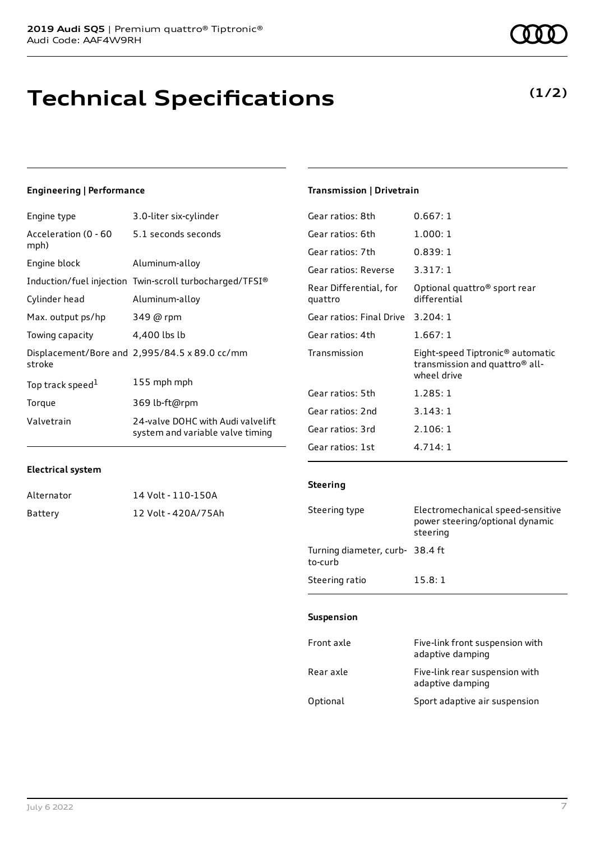# **Technical Specifications**

### **Engineering | Performance**

| Engine type                  | 3.0-liter six-cylinder                                                |
|------------------------------|-----------------------------------------------------------------------|
| Acceleration (0 - 60<br>mph) | 5.1 seconds seconds                                                   |
| Engine block                 | Aluminum-alloy                                                        |
|                              | Induction/fuel injection Twin-scroll turbocharged/TFSI®               |
| Cylinder head                | Aluminum-alloy                                                        |
| Max. output ps/hp            | 349 @ rpm                                                             |
| Towing capacity              | 4,400 lbs lb                                                          |
| stroke                       | Displacement/Bore and 2,995/84.5 x 89.0 cc/mm                         |
| Top track speed <sup>1</sup> | 155 mph mph                                                           |
| Torque                       | 369 lb-ft@rpm                                                         |
| Valvetrain                   | 24-valve DOHC with Audi valvelift<br>system and variable valve timing |

### **Transmission | Drivetrain**

| Gear ratios: 8th                  | 0.667:1                                                                                       |
|-----------------------------------|-----------------------------------------------------------------------------------------------|
| Gear ratios: 6th                  | 1.000:1                                                                                       |
| Gear ratios: 7th                  | 0.839:1                                                                                       |
| Gear ratios: Reverse              | 3.317:1                                                                                       |
| Rear Differential, for<br>quattro | Optional quattro <sup>®</sup> sport rear<br>differential                                      |
| Gear ratios: Final Drive          | 3.204:1                                                                                       |
| Gear ratios: 4th                  | 1.667:1                                                                                       |
| Transmission                      | Eight-speed Tiptronic® automatic<br>transmission and quattro <sup>®</sup> all-<br>wheel drive |
| Gear ratios: 5th                  | 1.285:1                                                                                       |
| Gear ratios: 2nd                  | 3.143:1                                                                                       |
| Gear ratios: 3rd                  | 2.106:1                                                                                       |
| Gear ratios: 1st                  | 4.714:1                                                                                       |

#### **Electrical system**

| Alternator | 14 Volt - 110-150A  |
|------------|---------------------|
| Battery    | 12 Volt - 420A/75Ah |

| Steering type | Electromechanical speed-sensitive<br>power steering/optional dynamic<br>steering |
|---------------|----------------------------------------------------------------------------------|
|               |                                                                                  |

Turning diameter, curb-38.4 ft to-curb Steering ratio 15.8:1

### **Suspension**

**Steering**

| Front axle | Five-link front suspension with<br>adaptive damping |
|------------|-----------------------------------------------------|
| Rear axle  | Five-link rear suspension with<br>adaptive damping  |
| Optional   | Sport adaptive air suspension                       |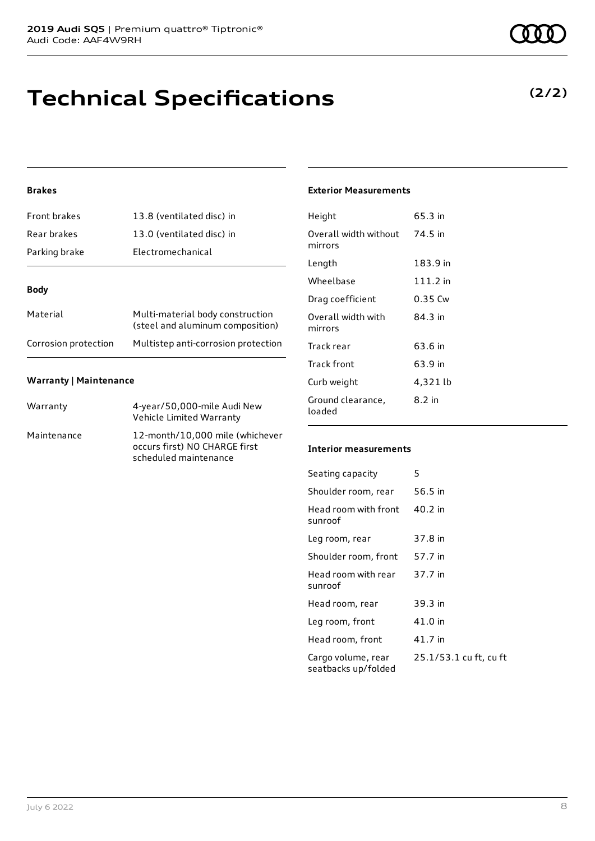# **Technical Specifications**

## **Brakes**

| Front brakes         | 13.8 (ventilated disc) in                                            |  |
|----------------------|----------------------------------------------------------------------|--|
| Rear brakes          | 13.0 (ventilated disc) in                                            |  |
| Parking brake        | Electromechanical                                                    |  |
| Body                 |                                                                      |  |
|                      |                                                                      |  |
| Material             | Multi-material body construction<br>(steel and aluminum composition) |  |
| Corrosion protection | Multistep anti-corrosion protection                                  |  |

### **Warranty | Maintenance**

| Warranty    | 4-year/50,000-mile Audi New<br>Vehicle Limited Warranty                                   |
|-------------|-------------------------------------------------------------------------------------------|
| Maintenance | 12-month/10,000 mile (whichever<br>occurs first) NO CHARGE first<br>scheduled maintenance |

#### **Exterior Measurements**

| Height                           | 65.3 in    |
|----------------------------------|------------|
| Overall width without<br>mirrors | 74.5 in    |
| Length                           | 183.9 in   |
| Wheelbase                        | $111.2$ in |
| Drag coefficient                 | 0.35 Cw    |
| Overall width with<br>mirrors    | 84.3 in    |
| Track rear                       | 63.6 in    |
| Track front                      | 63.9 in    |
| Curb weight                      | 4,321 lb   |
| Ground clearance,<br>loaded      | 8.2 in     |

#### **Interior measurements**

| Seating capacity                          | 5                      |
|-------------------------------------------|------------------------|
| Shoulder room, rear                       | 56.5 in                |
| Head room with front<br>sunroof           | $40.2$ in              |
| Leg room, rear                            | 37.8 in                |
| Shoulder room, front                      | 57.7 in                |
| Head room with rear<br>sunroof            | 37.7 in                |
| Head room, rear                           | 39.3 in                |
| Leg room, front                           | 41.0 in                |
| Head room, front                          | 41.7 in                |
| Cargo volume, rear<br>seatbacks up/folded | 25.1/53.1 cu ft, cu ft |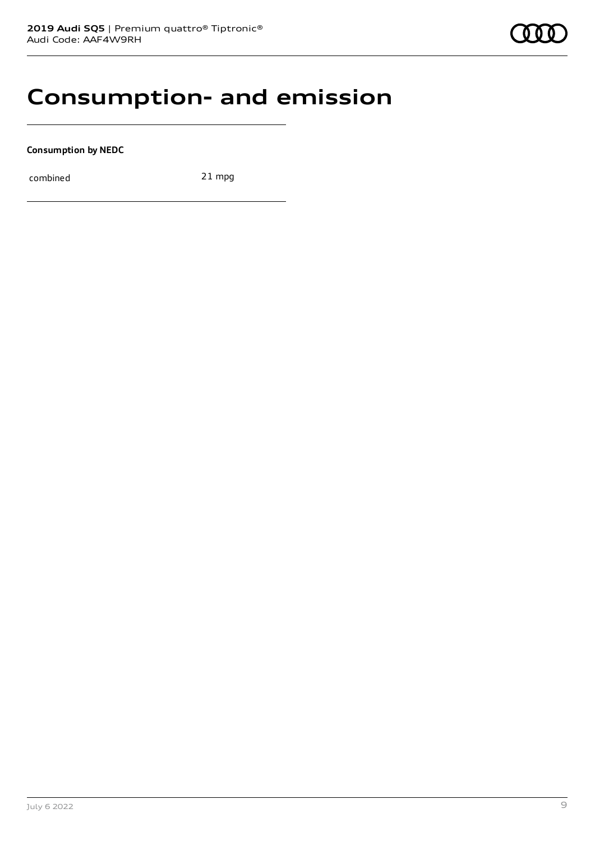## **Consumption- and emission**

**Consumption by NEDC**

combined 21 mpg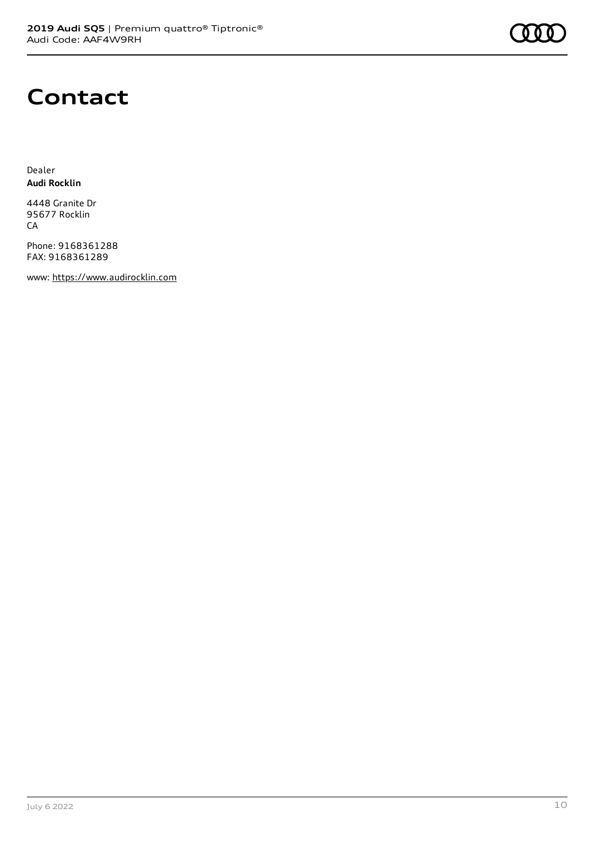

# **Contact**

Dealer **Audi Rocklin**

4448 Granite Dr 95677 Rocklin CA

Phone: 9168361288 FAX: 9168361289

www: [https://www.audirocklin.com](https://www.audirocklin.com/)